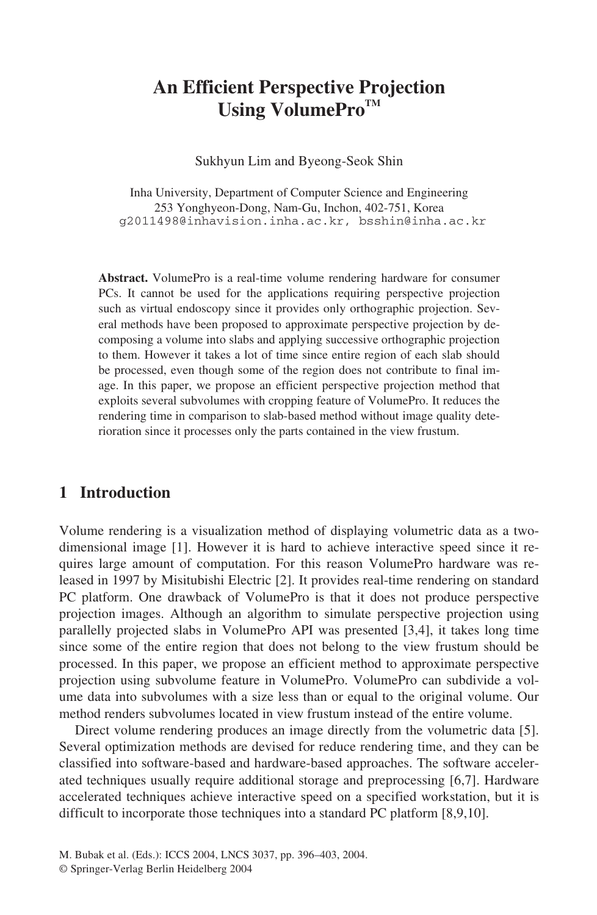# **An Efficient Perspective Projection** Using VolumePro<sup>TM</sup>

Sukhyun Lim and Byeong-Seok Shin

Inha University, Department of Computer Science and Engineering 253 Yonghyeon-Dong, Nam-Gu, Inchon, 402-751, Korea g2011498@inhavision.inha.ac.kr, bsshin@inha.ac.kr

**Abstract.** VolumePro is a real-time volume rendering hardware for consumer PCs. It cannot be used for the applications requiring perspective projection such as virtual endoscopy since it provides only orthographic projection. Several methods have been proposed to approximate perspective projection by decomposing a volume into slabs and applying successive orthographic projection to them. However it takes a lot of time since entire region of each slab should be processed, even though some of the region does not contribute to final image. In this paper, we propose an efficient perspective projection method that exploits several subvolumes with cropping feature of VolumePro. It reduces the rendering time in comparison to slab-based method without image quality deterioration since it processes only the parts contained in the view frustum.

### **1 Introduction**

Volume rendering is a visualization method of displaying volumetric data as a twodimensional image [1]. However it is hard to achieve interactive speed since it requires large amount of computation. For this reason VolumePro hardware was released in 1997 by Misitubishi Electric [2]. It provides real-time rendering on standard PC platform. One drawback of VolumePro is that it does not produce perspective projection images. Although an algorithm to simulate perspective projection using parallelly projected slabs in VolumePro API was presented [3,4], it takes long time since some of the entire region that does not belong to the view frustum should be processed. In this paper, we propose an efficient method to approximate perspective projection using subvolume feature in VolumePro. VolumePro can subdivide a volume data into subvolumes with a size less than or equal to the original volume. Our method renders subvolumes located in view frustum instead of the entire volume.

Direct volume rendering produces an image directly from the volumetric data [5]. Several optimization methods are devised for reduce rendering time, and they can be classified into software-based and hardware-based approaches. The software accelerated techniques usually require additional storage and preprocessing [6,7]. Hardware accelerated techniques achieve interactive speed on a specified workstation, but it is difficult to incorporate those techniques into a standard PC platform [8,9,10].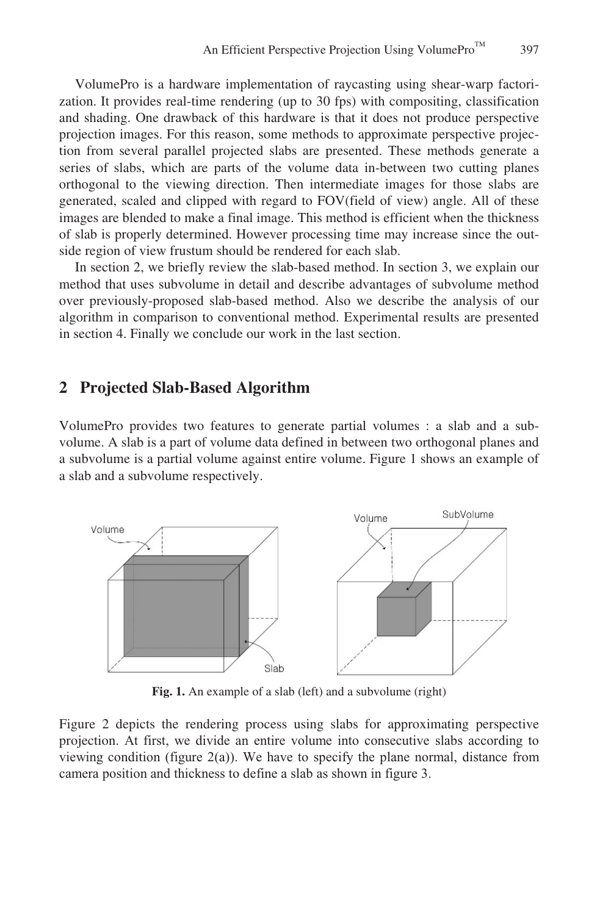397

VolumePro is a hardware implementation of raycasting using shear-warp factorization. It provides real-time rendering (up to 30 fps) with compositing, classification and shading. One drawback of this hardware is that it does not produce perspective projection images. For this reason, some methods to approximate perspective projection from several parallel projected slabs are presented. These methods generate a series of slabs, which are parts of the volume data in-between two cutting planes orthogonal to the viewing direction. Then intermediate images for those slabs are generated, scaled and clipped with regard to FOV(field of view) angle. All of these images are blended to make a final image. This method is efficient when the thickness of slab is properly determined. However processing time may increase since the outside region of view frustum should be rendered for each slab.

In section 2, we briefly review the slab-based method. In section 3, we explain our method that uses subvolume in detail and describe advantages of subvolume method over previously-proposed slab-based method. Also we describe the analysis of our algorithm in comparison to conventional method. Experimental results are presented in section 4. Finally we conclude our work in the last section.

### **2 Projected Slab-Based Algorithm**

VolumePro provides two features to generate partial volumes : a slab and a subvolume. A slab is a part of volume data defined in between two orthogonal planes and a subvolume is a partial volume against entire volume. Figure 1 shows an example of a slab and a subvolume respectively.



Fig. 1. An example of a slab (left) and a subvolume (right)

Figure 2 depicts the rendering process using slabs for approximating perspective projection. At first, we divide an entire volume into consecutive slabs according to viewing condition (figure  $2(a)$ ). We have to specify the plane normal, distance from camera position and thickness to define a slab as shown in figure 3.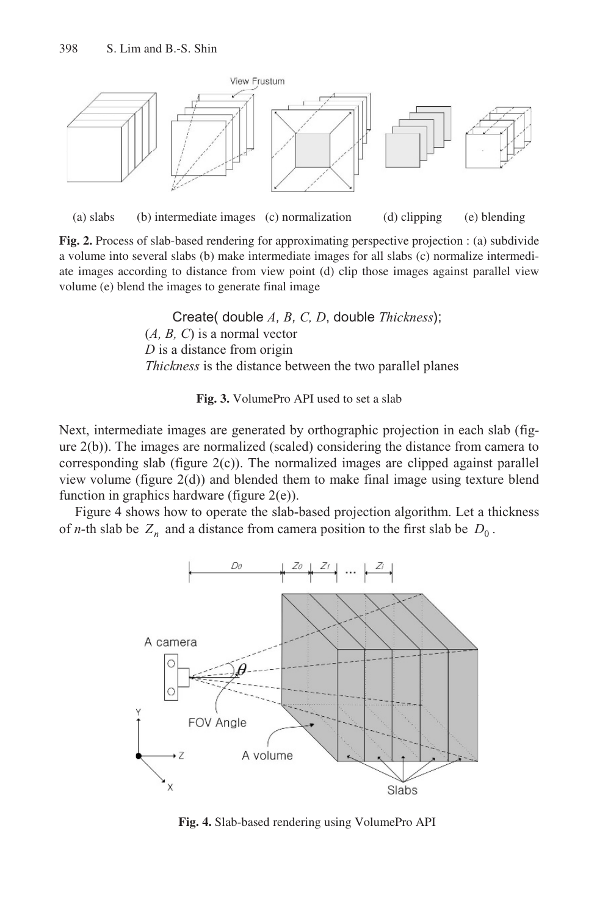



**Fig. 2.** Process of slab-based rendering for approximating perspective projection : (a) subdivide a volume into several slabs (b) make intermediate images for all slabs (c) normalize intermediate images according to distance from view point (d) clip those images against parallel view volume (e) blend the images to generate final image

Create( double *A, B, C, D*, double *Thickness*); (*A, B, C*) is a normal vector *D* is a distance from origin *Thickness* is the distance between the two parallel planes

**Fig. 3.** VolumePro API used to set a slab

Next, intermediate images are generated by orthographic projection in each slab (figure 2(b)). The images are normalized (scaled) considering the distance from camera to corresponding slab (figure 2(c)). The normalized images are clipped against parallel view volume (figure 2(d)) and blended them to make final image using texture blend function in graphics hardware (figure 2(e)).

Figure 4 shows how to operate the slab-based projection algorithm. Let a thickness of *n*-th slab be  $Z_n$  and a distance from camera position to the first slab be  $D_0$ .



**Fig. 4.** Slab-based rendering using VolumePro API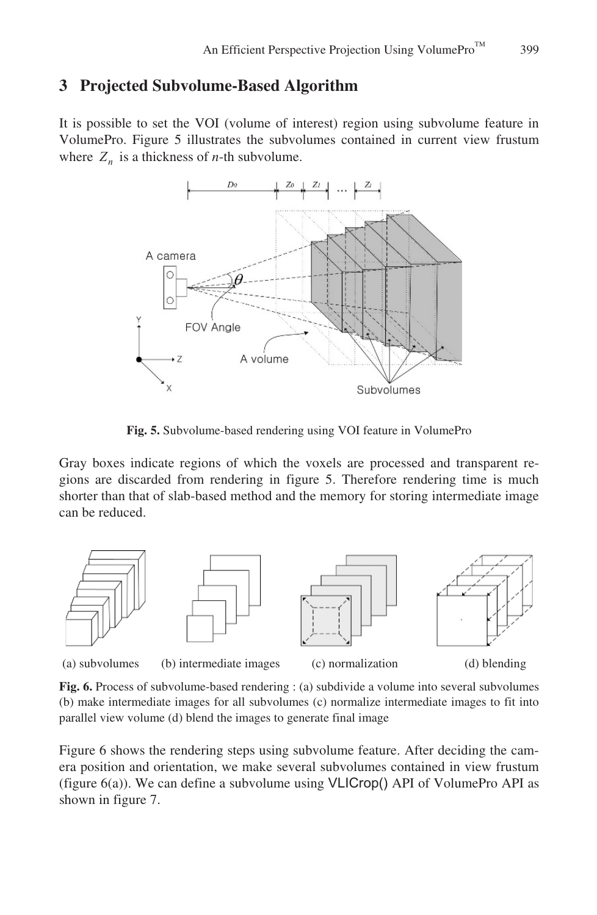## **3 Projected Subvolume-Based Algorithm**

It is possible to set the VOI (volume of interest) region using subvolume feature in VolumePro. Figure 5 illustrates the subvolumes contained in current view frustum where  $Z_n$  is a thickness of *n*-th subvolume.



**Fig. 5.** Subvolume-based rendering using VOI feature in VolumePro

Gray boxes indicate regions of which the voxels are processed and transparent regions are discarded from rendering in figure 5. Therefore rendering time is much shorter than that of slab-based method and the memory for storing intermediate image can be reduced.



(a) subvolumes (b) intermediate images (c) normalization (d) blending

**Fig. 6.** Process of subvolume-based rendering : (a) subdivide a volume into several subvolumes (b) make intermediate images for all subvolumes (c) normalize intermediate images to fit into parallel view volume (d) blend the images to generate final image

Figure 6 shows the rendering steps using subvolume feature. After deciding the camera position and orientation, we make several subvolumes contained in view frustum (figure 6(a)). We can define a subvolume using VLICrop() API of VolumePro API as shown in figure 7.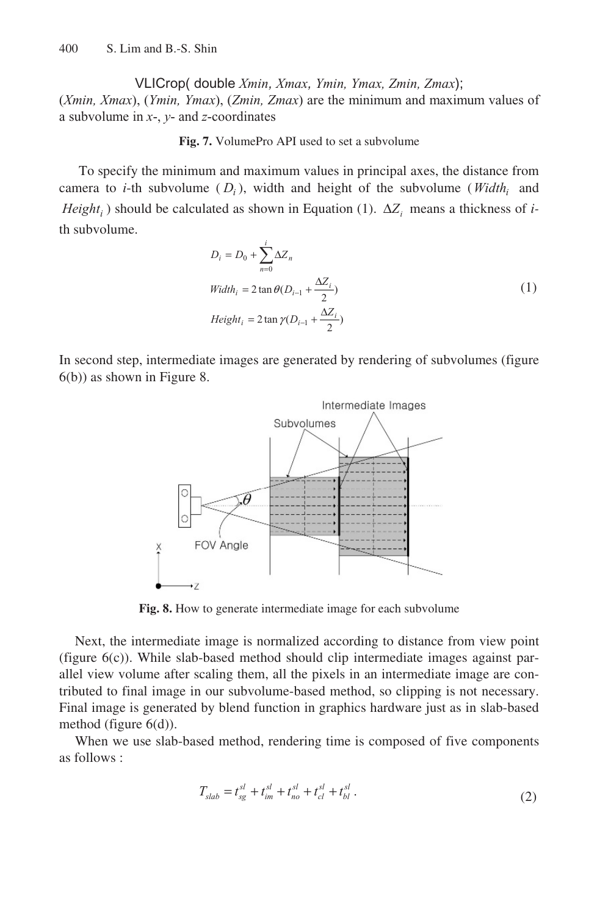VLICrop( double *Xmin, Xmax, Ymin, Ymax, Zmin, Zmax*); (*Xmin, Xmax*), (*Ymin, Ymax*), (*Zmin, Zmax*) are the minimum and maximum values of a subvolume in *x*-, *y*- and *z*-coordinates

#### **Fig. 7.** VolumePro API used to set a subvolume

To specify the minimum and maximum values in principal axes, the distance from camera to *i*-th subvolume  $(D_i)$ , width and height of the subvolume (*Width*<sub>i</sub> and *Height<sub>i</sub>*) should be calculated as shown in Equation (1).  $\Delta Z$ <sub>i</sub> means a thickness of *i*th subvolume.

$$
D_i = D_0 + \sum_{n=0}^{i} \Delta Z_n
$$
  
\n
$$
Width_i = 2 \tan \theta (D_{i-1} + \frac{\Delta Z_i}{2})
$$
  
\n
$$
Height_i = 2 \tan \gamma (D_{i-1} + \frac{\Delta Z_i}{2})
$$
\n(1)

In second step, intermediate images are generated by rendering of subvolumes (figure 6(b)) as shown in Figure 8.



**Fig. 8.** How to generate intermediate image for each subvolume

Next, the intermediate image is normalized according to distance from view point (figure 6(c)). While slab-based method should clip intermediate images against parallel view volume after scaling them, all the pixels in an intermediate image are contributed to final image in our subvolume-based method, so clipping is not necessary. Final image is generated by blend function in graphics hardware just as in slab-based method (figure 6(d)).

When we use slab-based method, rendering time is composed of five components as follows :

$$
T_{slab} = t_{sg}^{sl} + t_{im}^{sl} + t_{no}^{sl} + t_{cl}^{sl} + t_{bl}^{sl} \tag{2}
$$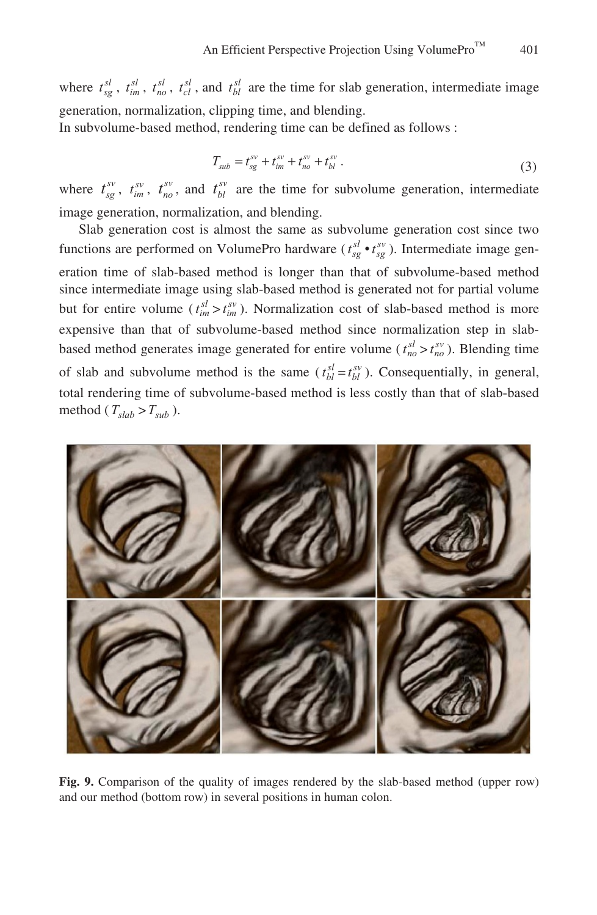where  $t_{sg}^{sl}$ ,  $t_{im}^{sl}$ ,  $t_{co}^{sl}$ ,  $t_{cl}^{sl}$ , and  $t_{bl}^{sl}$  are the time for slab generation, intermediate image generation, normalization, clipping time, and blending. In subvolume-based method, rendering time can be defined as follows :

$$
T_{sub} = t_{sg}^{sv} + t_{im}^{sv} + t_{no}^{sv} + t_{bl}^{sv} \,. \tag{3}
$$

where  $t_{sg}^{sv}$ ,  $t_{im}^{sv}$ ,  $t_{no}^{sv}$ , and  $t_{bl}^{sv}$  are the time for subvolume generation, intermediate image generation, normalization, and blending.

Slab generation cost is almost the same as subvolume generation cost since two functions are performed on VolumePro hardware ( $t_{sg}^{sl} \cdot t_{sg}^{sv}$ ). Intermediate image generation time of slab-based method is longer than that of subvolume-based method since intermediate image using slab-based method is generated not for partial volume but for entire volume  $(t_{im}^{sl} > t_{im}^{sv})$ . Normalization cost of slab-based method is more expensive than that of subvolume-based method since normalization step in slabbased method generates image generated for entire volume ( $t_{no}^{sl} > t_{no}^{sv}$ ). Blending time of slab and subvolume method is the same  $(t_{bl}^{sl} = t_{bl}^{sv})$ . Consequentially, in general, total rendering time of subvolume-based method is less costly than that of slab-based method ( $T_{slab} > T_{sub}$ ).



**Fig. 9.** Comparison of the quality of images rendered by the slab-based method (upper row) and our method (bottom row) in several positions in human colon.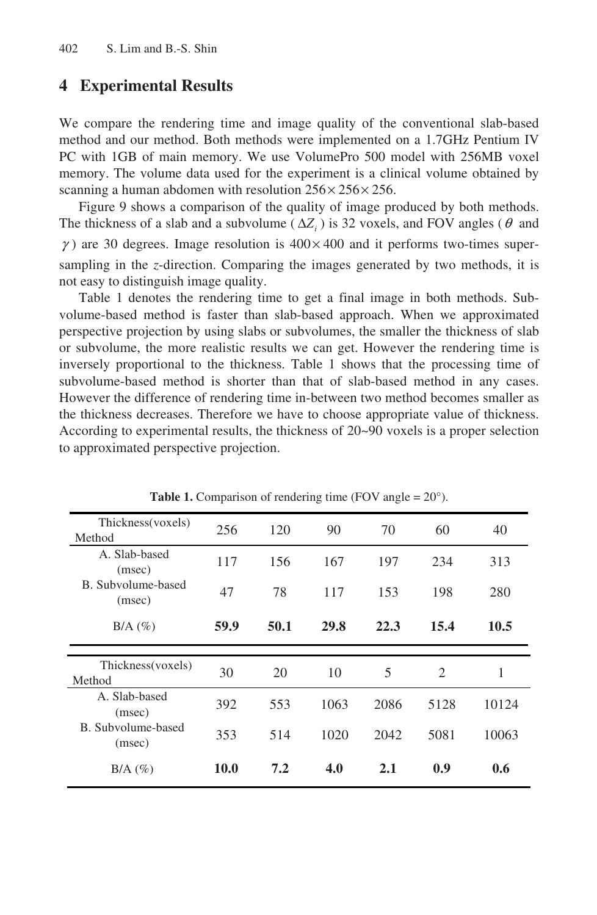## **4 Experimental Results**

We compare the rendering time and image quality of the conventional slab-based method and our method. Both methods were implemented on a 1.7GHz Pentium IV PC with 1GB of main memory. We use VolumePro 500 model with 256MB voxel memory. The volume data used for the experiment is a clinical volume obtained by scanning a human abdomen with resolution  $256 \times 256 \times 256$ .

Figure 9 shows a comparison of the quality of image produced by both methods. The thickness of a slab and a subvolume ( $\Delta Z_i$ ) is 32 voxels, and FOV angles ( $\theta$  and  $\gamma$ ) are 30 degrees. Image resolution is  $400 \times 400$  and it performs two-times supersampling in the *z*-direction. Comparing the images generated by two methods, it is not easy to distinguish image quality.

Table 1 denotes the rendering time to get a final image in both methods. Subvolume-based method is faster than slab-based approach. When we approximated perspective projection by using slabs or subvolumes, the smaller the thickness of slab or subvolume, the more realistic results we can get. However the rendering time is inversely proportional to the thickness. Table 1 shows that the processing time of subvolume-based method is shorter than that of slab-based method in any cases. However the difference of rendering time in-between two method becomes smaller as the thickness decreases. Therefore we have to choose appropriate value of thickness. According to experimental results, the thickness of 20~90 voxels is a proper selection to approximated perspective projection.

| Thickness(voxels)<br>Method  | 256  | 120  | 90   | 70   | 60                          | 40    |
|------------------------------|------|------|------|------|-----------------------------|-------|
| A. Slab-based<br>(msec)      | 117  | 156  | 167  | 197  | 234                         | 313   |
| B. Subvolume-based<br>(msec) | 47   | 78   | 117  | 153  | 198                         | 280   |
| $B/A$ $(\%)$                 | 59.9 | 50.1 | 29.8 | 22.3 | 15.4                        | 10.5  |
|                              |      |      |      |      |                             |       |
|                              |      |      |      |      |                             |       |
| Thickness(voxels)<br>Method  | 30   | 20   | 10   | 5    | $\mathcal{D}_{\mathcal{L}}$ | 1     |
| A. Slab-based<br>(msec)      | 392  | 553  | 1063 | 2086 | 5128                        | 10124 |
| B. Subvolume-based<br>(msec) | 353  | 514  | 1020 | 2042 | 5081                        | 10063 |

**Table 1.** Comparison of rendering time (FOV angle =  $20^{\circ}$ ).